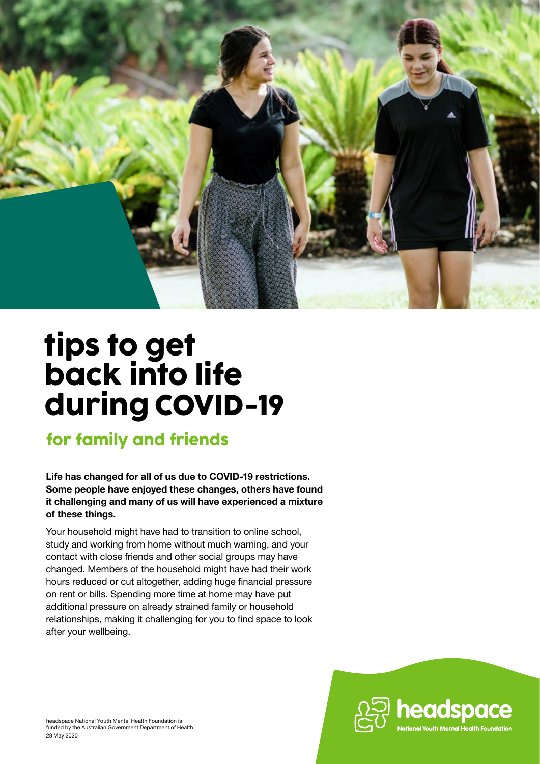

# tips to get back into life during COVID-19

# for family and friends

**Life has changed for all of us due to COVID-19 restrictions. Some people have enjoyed these changes, others have found it challenging and many of us will have experienced a mixture of these things.** 

Your household might have had to transition to online school, study and working from home without much warning, and your contact with close friends and other social groups may have changed. Members of the household might have had their work hours reduced or cut altogether, adding huge financial pressure on rent or bills. Spending more time at home may have put additional pressure on already strained family or household relationships, making it challenging for you to find space to look after your wellbeing.

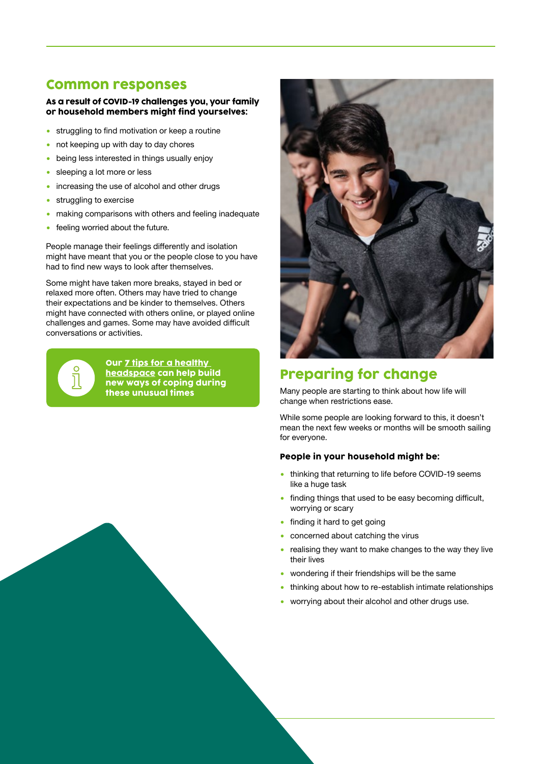### Common responses

#### As a result of COVID-19 challenges you, your family or household members might find yourselves:

- **•** struggling to find motivation or keep a routine
- not keeping up with day to day chores
- being less interested in things usually enjoy
- sleeping a lot more or less
- increasing the use of alcohol and other drugs
- **•** struggling to exercise
- making comparisons with others and feeling inadequate
- feeling worried about the future.

People manage their feelings differently and isolation might have meant that you or the people close to you have had to find new ways to look after themselves.

Some might have taken more breaks, stayed in bed or relaxed more often. Others may have tried to change their expectations and be kinder to themselves. Others might have connected with others online, or played online challenges and games. Some may have avoided difficult conversations or activities.



Our [7 tips for a healthy](https://headspace.org.au/young-people/tips-for-a-healthy-headspace/)  [headspace](https://headspace.org.au/young-people/tips-for-a-healthy-headspace/) can help build new ways of coping during these unusual times



### Preparing for change

Many people are starting to think about how life will change when restrictions ease.

While some people are looking forward to this, it doesn't mean the next few weeks or months will be smooth sailing for everyone.

#### People in your household might be:

- thinking that returning to life before COVID-19 seems like a huge task
- finding things that used to be easy becoming difficult, worrying or scary
- finding it hard to get going
- concerned about catching the virus
- realising they want to make changes to the way they live their lives
- wondering if their friendships will be the same
- thinking about how to re-establish intimate relationships
- worrying about their alcohol and other drugs use.